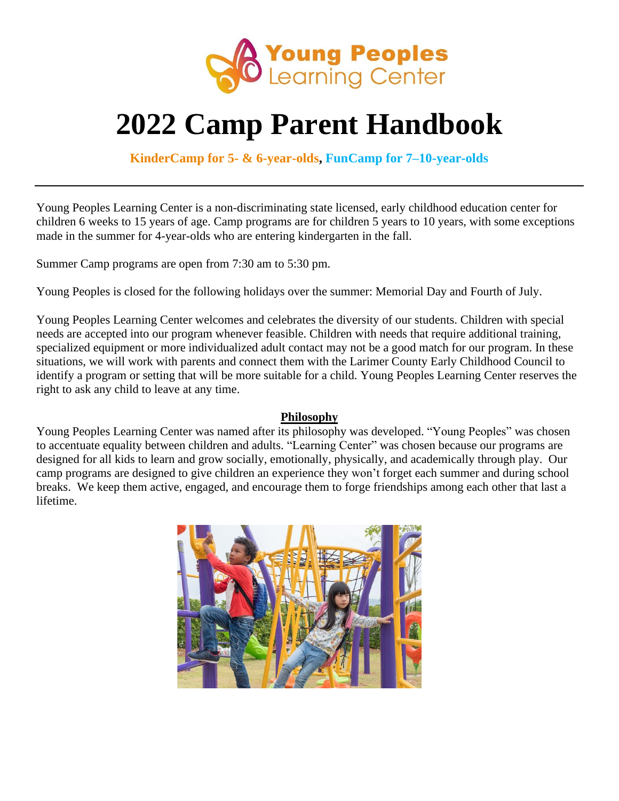

### **2022 Camp Parent Handbook**

**KinderCamp for 5- & 6-year-olds, FunCamp for 7–10-year-olds**

Young Peoples Learning Center is a non-discriminating state licensed, early childhood education center for children 6 weeks to 15 years of age. Camp programs are for children 5 years to 10 years, with some exceptions made in the summer for 4-year-olds who are entering kindergarten in the fall.

Summer Camp programs are open from 7:30 am to 5:30 pm.

Young Peoples is closed for the following holidays over the summer: Memorial Day and Fourth of July.

Young Peoples Learning Center welcomes and celebrates the diversity of our students. Children with special needs are accepted into our program whenever feasible. Children with needs that require additional training, specialized equipment or more individualized adult contact may not be a good match for our program. In these situations, we will work with parents and connect them with the Larimer County Early Childhood Council to identify a program or setting that will be more suitable for a child. Young Peoples Learning Center reserves the right to ask any child to leave at any time.

#### **Philosophy**

Young Peoples Learning Center was named after its philosophy was developed. "Young Peoples" was chosen to accentuate equality between children and adults. "Learning Center" was chosen because our programs are designed for all kids to learn and grow socially, emotionally, physically, and academically through play. Our camp programs are designed to give children an experience they won't forget each summer and during school breaks. We keep them active, engaged, and encourage them to forge friendships among each other that last a lifetime.

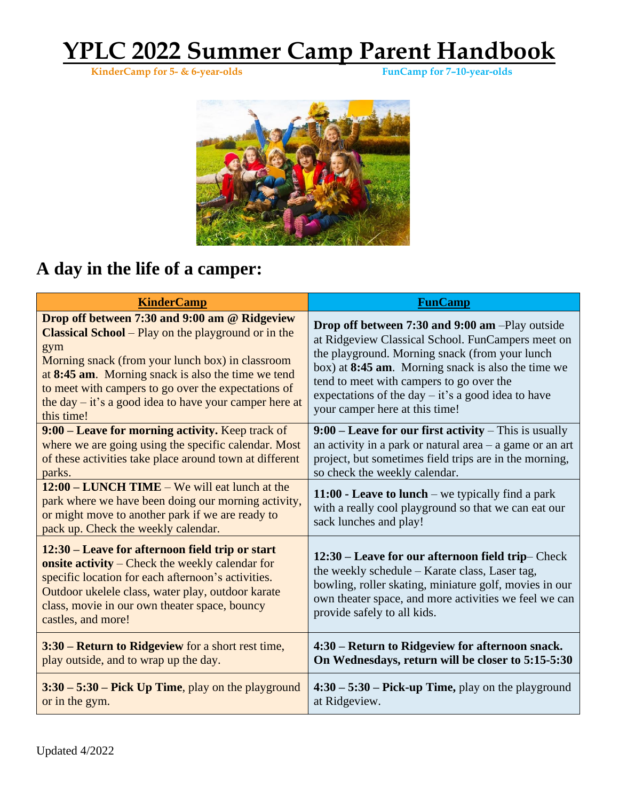**KinderCamp for 5- & 6-year-olds FunCamp for 7–10-year-olds**



### **A day in the life of a camper:**

| <b>KinderCamp</b>                                                                                                                                                                                                                                                                                                                                             | <b>FunCamp</b>                                                                                                                                                                                                                                                                                                                                     |
|---------------------------------------------------------------------------------------------------------------------------------------------------------------------------------------------------------------------------------------------------------------------------------------------------------------------------------------------------------------|----------------------------------------------------------------------------------------------------------------------------------------------------------------------------------------------------------------------------------------------------------------------------------------------------------------------------------------------------|
| Drop off between 7:30 and 9:00 am @ Ridgeview<br><b>Classical School</b> – Play on the playground or in the<br>gym<br>Morning snack (from your lunch box) in classroom<br>at 8:45 am. Morning snack is also the time we tend<br>to meet with campers to go over the expectations of<br>the day $-$ it's a good idea to have your camper here at<br>this time! | Drop off between 7:30 and 9:00 am -Play outside<br>at Ridgeview Classical School. FunCampers meet on<br>the playground. Morning snack (from your lunch<br>box) at 8:45 am. Morning snack is also the time we<br>tend to meet with campers to go over the<br>expectations of the day $-$ it's a good idea to have<br>your camper here at this time! |
| 9:00 - Leave for morning activity. Keep track of<br>where we are going using the specific calendar. Most<br>of these activities take place around town at different<br>parks.                                                                                                                                                                                 | 9:00 – Leave for our first activity – This is usually<br>an activity in a park or natural area $-$ a game or an art<br>project, but sometimes field trips are in the morning,<br>so check the weekly calendar.                                                                                                                                     |
| 12:00 – LUNCH TIME – We will eat lunch at the<br>park where we have been doing our morning activity,<br>or might move to another park if we are ready to<br>pack up. Check the weekly calendar.                                                                                                                                                               | 11:00 - Leave to lunch – we typically find a park<br>with a really cool playground so that we can eat our<br>sack lunches and play!                                                                                                                                                                                                                |
| 12:30 – Leave for afternoon field trip or start<br>onsite activity – Check the weekly calendar for<br>specific location for each afternoon's activities.<br>Outdoor ukelele class, water play, outdoor karate<br>class, movie in our own theater space, bouncy<br>castles, and more!                                                                          | 12:30 – Leave for our afternoon field trip– Check<br>the weekly schedule - Karate class, Laser tag,<br>bowling, roller skating, miniature golf, movies in our<br>own theater space, and more activities we feel we can<br>provide safely to all kids.                                                                                              |
| 3:30 – Return to Ridgeview for a short rest time,<br>play outside, and to wrap up the day.                                                                                                                                                                                                                                                                    | 4:30 – Return to Ridgeview for afternoon snack.<br>On Wednesdays, return will be closer to 5:15-5:30                                                                                                                                                                                                                                               |
| $3:30 - 5:30 - Pick Up Time, play on the playground$<br>or in the gym.                                                                                                                                                                                                                                                                                        | $4:30 - 5:30 - Pick-up Time$ , play on the playground<br>at Ridgeview.                                                                                                                                                                                                                                                                             |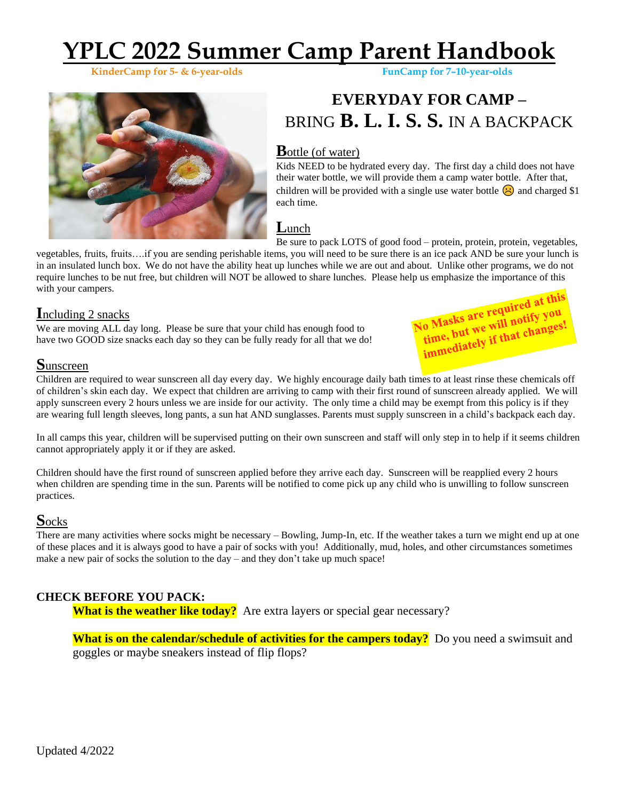**KinderCamp** for 5- & 6-year-olds



### **EVERYDAY FOR CAMP –** BRING **B. L. I. S. S.** IN A BACKPACK

#### **B**ottle (of water)

Kids NEED to be hydrated every day. The first day a child does not have their water bottle, we will provide them a camp water bottle. After that, children will be provided with a single use water bottle  $\bigodot$  and charged \$1 each time.

#### **L**unch

Be sure to pack LOTS of good food – protein, protein, protein, vegetables,

o Masks are required at the but we will notify you (o Masks are will notify your<br>time, but we will notify your<br>immediately if that changes!

vegetables, fruits, fruits….if you are sending perishable items, you will need to be sure there is an ice pack AND be sure your lunch is in an insulated lunch box. We do not have the ability heat up lunches while we are out and about. Unlike other programs, we do not require lunches to be nut free, but children will NOT be allowed to share lunches. Please help us emphasize the importance of this with your campers. No Masks are required at this

#### **I**ncluding 2 snacks

We are moving ALL day long. Please be sure that your child has enough food to have two GOOD size snacks each day so they can be fully ready for all that we do!

**S**unscreen

Children are required to wear sunscreen all day every day. We highly encourage daily bath times to at least rinse these chemicals off of children's skin each day. We expect that children are arriving to camp with their first round of sunscreen already applied. We will apply sunscreen every 2 hours unless we are inside for our activity. The only time a child may be exempt from this policy is if they are wearing full length sleeves, long pants, a sun hat AND sunglasses. Parents must supply sunscreen in a child's backpack each day.

In all camps this year, children will be supervised putting on their own sunscreen and staff will only step in to help if it seems children cannot appropriately apply it or if they are asked.

Children should have the first round of sunscreen applied before they arrive each day. Sunscreen will be reapplied every 2 hours when children are spending time in the sun. Parents will be notified to come pick up any child who is unwilling to follow sunscreen practices.

#### **S**ocks

There are many activities where socks might be necessary – Bowling, Jump-In, etc. If the weather takes a turn we might end up at one of these places and it is always good to have a pair of socks with you! Additionally, mud, holes, and other circumstances sometimes make a new pair of socks the solution to the day – and they don't take up much space!

#### **CHECK BEFORE YOU PACK:**

**What is the weather like today?** Are extra layers or special gear necessary?

**What is on the calendar/schedule of activities for the campers today?** Do you need a swimsuit and goggles or maybe sneakers instead of flip flops?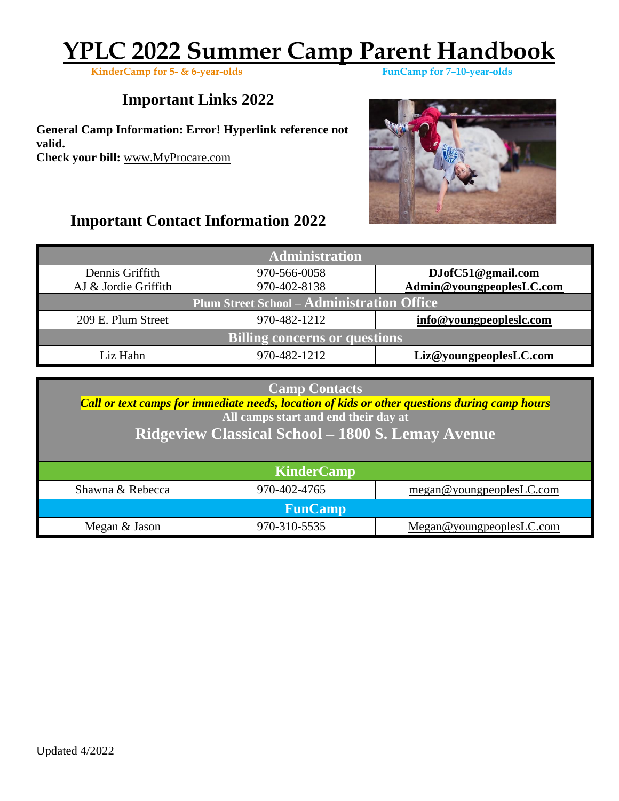**KinderCamp** for 5- & 6-year-olds

### **Important Links 2022**

**General Camp Information: Error! Hyperlink reference not valid. Check your bill:** [www.MyProcare.com](http://www.myprocare.com/)

### **Important Contact Information 2022**



| <b>Administration</b>                      |                                   |                          |  |  |  |
|--------------------------------------------|-----------------------------------|--------------------------|--|--|--|
| Dennis Griffith                            | 970-566-0058<br>DJofC51@gmail.com |                          |  |  |  |
| AJ & Jordie Griffith                       | 970-402-8138                      | Admin@youngpeoplesLC.com |  |  |  |
| Plum Street School - Administration Office |                                   |                          |  |  |  |
| 209 E. Plum Street                         | 970-482-1212                      | info@youngpeopleslc.com  |  |  |  |
| <b>Billing concerns or questions</b>       |                                   |                          |  |  |  |
| Liz Hahn                                   | 970-482-1212                      | Liz@youngpeoplesLC.com   |  |  |  |

| <b>Camp Contacts</b> |  |  |
|----------------------|--|--|
|                      |  |  |

*Call or text camps for immediate needs, location of kids or other questions during camp hours* **All camps start and end their day at**

#### **Ridgeview Classical School – 1800 S. Lemay Avenue**

| <b>KinderCamp</b> |              |                          |  |  |  |
|-------------------|--------------|--------------------------|--|--|--|
| Shawna & Rebecca  | 970-402-4765 | megan@youngpeoplesLC.com |  |  |  |
| <b>FunCamp</b>    |              |                          |  |  |  |
| Megan & Jason     | 970-310-5535 | Megan@youngpeoplesLC.com |  |  |  |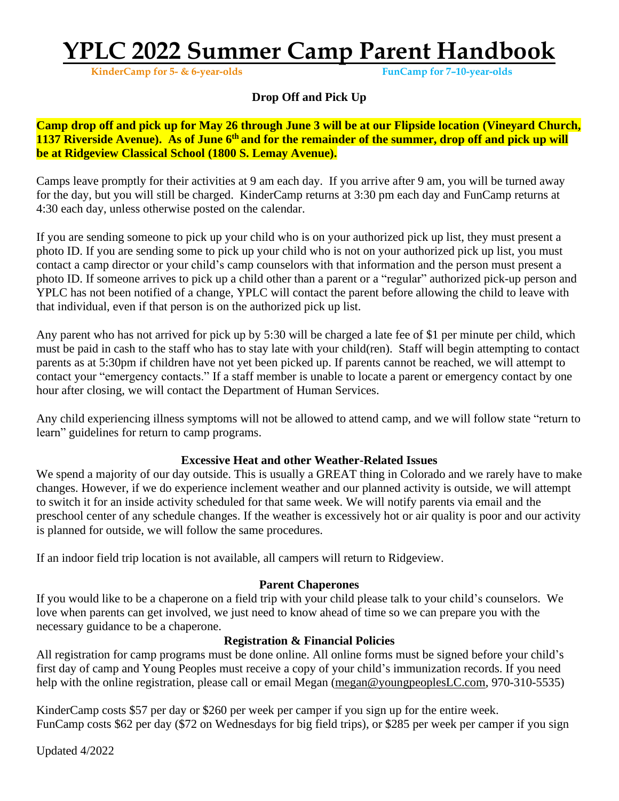**KinderCamp** for 5- & 6-year-olds

#### **Drop Off and Pick Up**

Camp drop off and pick up for May 26 through June 3 will be at our Flipside location (Vinevard Church, 1137 Riverside Avenue). As of June 6<sup>th</sup> and for the remainder of the summer, drop off and pick up will **be at Ridgeview Classical School (1800 S. Lemay Avenue).**

Camps leave promptly for their activities at 9 am each day. If you arrive after 9 am, you will be turned away for the day, but you will still be charged. KinderCamp returns at 3:30 pm each day and FunCamp returns at 4:30 each day, unless otherwise posted on the calendar.

If you are sending someone to pick up your child who is on your authorized pick up list, they must present a photo ID. If you are sending some to pick up your child who is not on your authorized pick up list, you must contact a camp director or your child's camp counselors with that information and the person must present a photo ID. If someone arrives to pick up a child other than a parent or a "regular" authorized pick-up person and YPLC has not been notified of a change, YPLC will contact the parent before allowing the child to leave with that individual, even if that person is on the authorized pick up list.

Any parent who has not arrived for pick up by 5:30 will be charged a late fee of \$1 per minute per child, which must be paid in cash to the staff who has to stay late with your child(ren). Staff will begin attempting to contact parents as at 5:30pm if children have not yet been picked up. If parents cannot be reached, we will attempt to contact your "emergency contacts." If a staff member is unable to locate a parent or emergency contact by one hour after closing, we will contact the Department of Human Services.

Any child experiencing illness symptoms will not be allowed to attend camp, and we will follow state "return to learn" guidelines for return to camp programs.

#### **Excessive Heat and other Weather-Related Issues**

We spend a majority of our day outside. This is usually a GREAT thing in Colorado and we rarely have to make changes. However, if we do experience inclement weather and our planned activity is outside, we will attempt to switch it for an inside activity scheduled for that same week. We will notify parents via email and the preschool center of any schedule changes. If the weather is excessively hot or air quality is poor and our activity is planned for outside, we will follow the same procedures.

If an indoor field trip location is not available, all campers will return to Ridgeview.

#### **Parent Chaperones**

If you would like to be a chaperone on a field trip with your child please talk to your child's counselors. We love when parents can get involved, we just need to know ahead of time so we can prepare you with the necessary guidance to be a chaperone.

#### **Registration & Financial Policies**

All registration for camp programs must be done online. All online forms must be signed before your child's first day of camp and Young Peoples must receive a copy of your child's immunization records. If you need help with the online registration, please call or email Megan [\(megan@youngpeoplesLC.com,](mailto:megan@youngpeoplesLC.com) 970-310-5535)

KinderCamp costs \$57 per day or \$260 per week per camper if you sign up for the entire week. FunCamp costs \$62 per day (\$72 on Wednesdays for big field trips), or \$285 per week per camper if you sign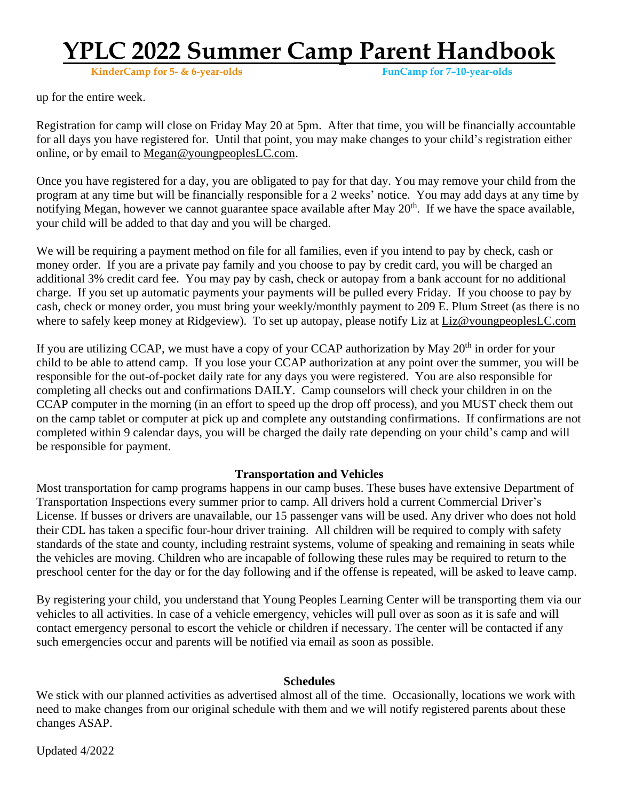**KinderCamp** for 5- & 6-year-olds

up for the entire week.

Registration for camp will close on Friday May 20 at 5pm. After that time, you will be financially accountable for all days you have registered for. Until that point, you may make changes to your child's registration either online, or by email to [Megan@youngpeoplesLC.com.](mailto:Megan@youngpeoplesLC.com)

Once you have registered for a day, you are obligated to pay for that day. You may remove your child from the program at any time but will be financially responsible for a 2 weeks' notice. You may add days at any time by notifying Megan, however we cannot guarantee space available after May 20<sup>th</sup>. If we have the space available, your child will be added to that day and you will be charged.

We will be requiring a payment method on file for all families, even if you intend to pay by check, cash or money order. If you are a private pay family and you choose to pay by credit card, you will be charged an additional 3% credit card fee. You may pay by cash, check or autopay from a bank account for no additional charge. If you set up automatic payments your payments will be pulled every Friday. If you choose to pay by cash, check or money order, you must bring your weekly/monthly payment to 209 E. Plum Street (as there is no where to safely keep money at Ridgeview). To set up autopay, please notify Liz at [Liz@youngpeoplesLC.com](mailto:Liz@youngpeoplesLC.com)

If you are utilizing CCAP, we must have a copy of your CCAP authorization by May  $20<sup>th</sup>$  in order for your child to be able to attend camp. If you lose your CCAP authorization at any point over the summer, you will be responsible for the out-of-pocket daily rate for any days you were registered. You are also responsible for completing all checks out and confirmations DAILY. Camp counselors will check your children in on the CCAP computer in the morning (in an effort to speed up the drop off process), and you MUST check them out on the camp tablet or computer at pick up and complete any outstanding confirmations. If confirmations are not completed within 9 calendar days, you will be charged the daily rate depending on your child's camp and will be responsible for payment.

#### **Transportation and Vehicles**

Most transportation for camp programs happens in our camp buses. These buses have extensive Department of Transportation Inspections every summer prior to camp. All drivers hold a current Commercial Driver's License. If busses or drivers are unavailable, our 15 passenger vans will be used. Any driver who does not hold their CDL has taken a specific four-hour driver training. All children will be required to comply with safety standards of the state and county, including restraint systems, volume of speaking and remaining in seats while the vehicles are moving. Children who are incapable of following these rules may be required to return to the preschool center for the day or for the day following and if the offense is repeated, will be asked to leave camp.

By registering your child, you understand that Young Peoples Learning Center will be transporting them via our vehicles to all activities. In case of a vehicle emergency, vehicles will pull over as soon as it is safe and will contact emergency personal to escort the vehicle or children if necessary. The center will be contacted if any such emergencies occur and parents will be notified via email as soon as possible.

#### **Schedules**

We stick with our planned activities as advertised almost all of the time. Occasionally, locations we work with need to make changes from our original schedule with them and we will notify registered parents about these changes ASAP.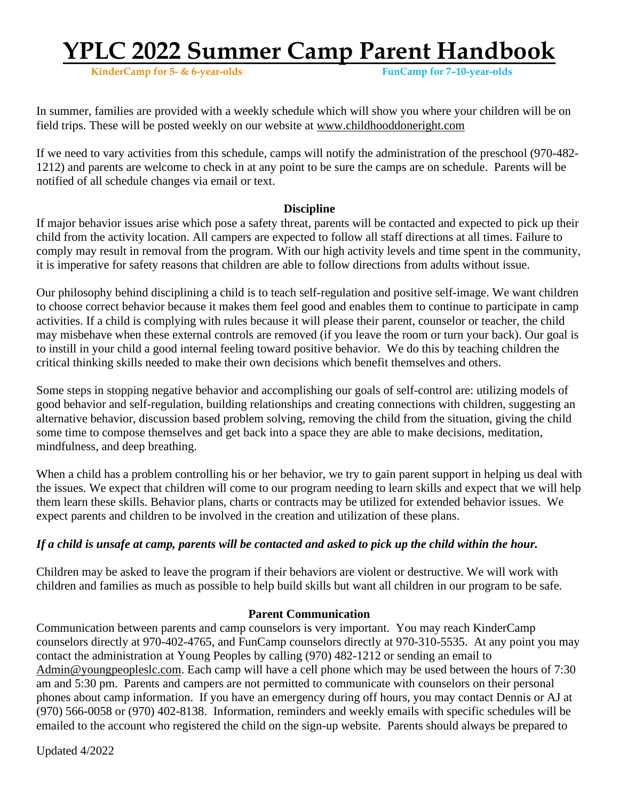**KinderCamp** for 5- & 6-year-olds

In summer, families are provided with a weekly schedule which will show you where your children will be on field trips. These will be posted weekly on our website at [www.childhooddoneright.com](http://www.childhooddoneright.com/)

If we need to vary activities from this schedule, camps will notify the administration of the preschool (970-482- 1212) and parents are welcome to check in at any point to be sure the camps are on schedule. Parents will be notified of all schedule changes via email or text.

#### **Discipline**

If major behavior issues arise which pose a safety threat, parents will be contacted and expected to pick up their child from the activity location. All campers are expected to follow all staff directions at all times. Failure to comply may result in removal from the program. With our high activity levels and time spent in the community, it is imperative for safety reasons that children are able to follow directions from adults without issue.

Our philosophy behind disciplining a child is to teach self-regulation and positive self-image. We want children to choose correct behavior because it makes them feel good and enables them to continue to participate in camp activities. If a child is complying with rules because it will please their parent, counselor or teacher, the child may misbehave when these external controls are removed (if you leave the room or turn your back). Our goal is to instill in your child a good internal feeling toward positive behavior. We do this by teaching children the critical thinking skills needed to make their own decisions which benefit themselves and others.

Some steps in stopping negative behavior and accomplishing our goals of self-control are: utilizing models of good behavior and self-regulation, building relationships and creating connections with children, suggesting an alternative behavior, discussion based problem solving, removing the child from the situation, giving the child some time to compose themselves and get back into a space they are able to make decisions, meditation, mindfulness, and deep breathing.

When a child has a problem controlling his or her behavior, we try to gain parent support in helping us deal with the issues. We expect that children will come to our program needing to learn skills and expect that we will help them learn these skills. Behavior plans, charts or contracts may be utilized for extended behavior issues. We expect parents and children to be involved in the creation and utilization of these plans.

#### If a child is unsafe at camp, parents will be contacted and asked to pick up the child within the hour.

Children may be asked to leave the program if their behaviors are violent or destructive. We will work with children and families as much as possible to help build skills but want all children in our program to be safe.

#### **Parent Communication**

Communication between parents and camp counselors is very important. You may reach KinderCamp counselors directly at 970-402-4765, and FunCamp counselors directly at 970-310-5535. At any point you may contact the administration at Young Peoples by calling (970) 482-1212 or sending an email to [Admin@youngpeopleslc.com.](mailto:Admin@youngpeopleslc.com) Each camp will have a cell phone which may be used between the hours of 7:30 am and 5:30 pm. Parents and campers are not permitted to communicate with counselors on their personal phones about camp information. If you have an emergency during off hours, you may contact Dennis or AJ at (970) 566-0058 or (970) 402-8138. Information, reminders and weekly emails with specific schedules will be emailed to the account who registered the child on the sign-up website. Parents should always be prepared to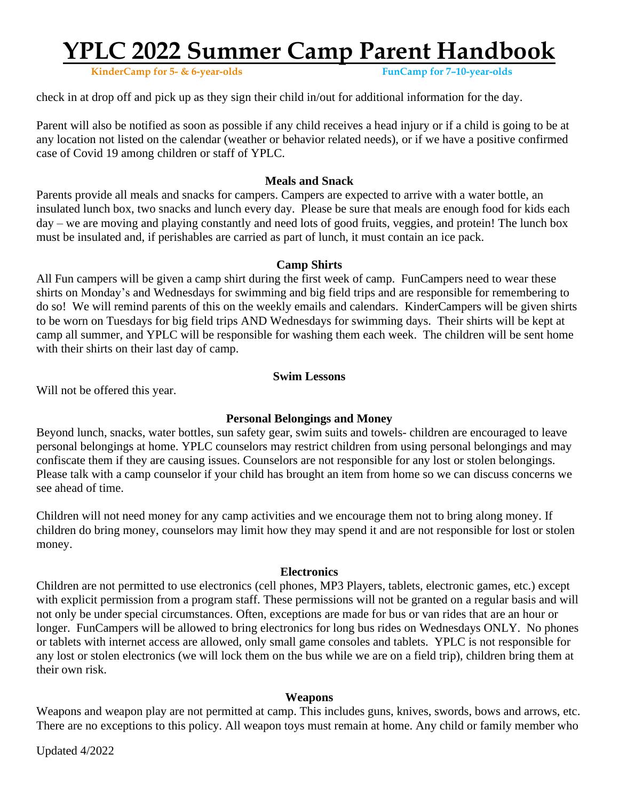**KinderCamp** for 5- & 6-year-olds

check in at drop off and pick up as they sign their child in/out for additional information for the day.

Parent will also be notified as soon as possible if any child receives a head injury or if a child is going to be at any location not listed on the calendar (weather or behavior related needs), or if we have a positive confirmed case of Covid 19 among children or staff of YPLC.

#### **Meals and Snack**

Parents provide all meals and snacks for campers. Campers are expected to arrive with a water bottle, an insulated lunch box, two snacks and lunch every day. Please be sure that meals are enough food for kids each day – we are moving and playing constantly and need lots of good fruits, veggies, and protein! The lunch box must be insulated and, if perishables are carried as part of lunch, it must contain an ice pack.

#### **Camp Shirts**

All Fun campers will be given a camp shirt during the first week of camp. FunCampers need to wear these shirts on Monday's and Wednesdays for swimming and big field trips and are responsible for remembering to do so! We will remind parents of this on the weekly emails and calendars. KinderCampers will be given shirts to be worn on Tuesdays for big field trips AND Wednesdays for swimming days. Their shirts will be kept at camp all summer, and YPLC will be responsible for washing them each week. The children will be sent home with their shirts on their last day of camp.

#### **Swim Lessons**

Will not be offered this year.

#### **Personal Belongings and Money**

Beyond lunch, snacks, water bottles, sun safety gear, swim suits and towels- children are encouraged to leave personal belongings at home. YPLC counselors may restrict children from using personal belongings and may confiscate them if they are causing issues. Counselors are not responsible for any lost or stolen belongings. Please talk with a camp counselor if your child has brought an item from home so we can discuss concerns we see ahead of time.

Children will not need money for any camp activities and we encourage them not to bring along money. If children do bring money, counselors may limit how they may spend it and are not responsible for lost or stolen money.

#### **Electronics**

Children are not permitted to use electronics (cell phones, MP3 Players, tablets, electronic games, etc.) except with explicit permission from a program staff. These permissions will not be granted on a regular basis and will not only be under special circumstances. Often, exceptions are made for bus or van rides that are an hour or longer. FunCampers will be allowed to bring electronics for long bus rides on Wednesdays ONLY. No phones or tablets with internet access are allowed, only small game consoles and tablets. YPLC is not responsible for any lost or stolen electronics (we will lock them on the bus while we are on a field trip), children bring them at their own risk.

#### **Weapons**

Weapons and weapon play are not permitted at camp. This includes guns, knives, swords, bows and arrows, etc. There are no exceptions to this policy. All weapon toys must remain at home. Any child or family member who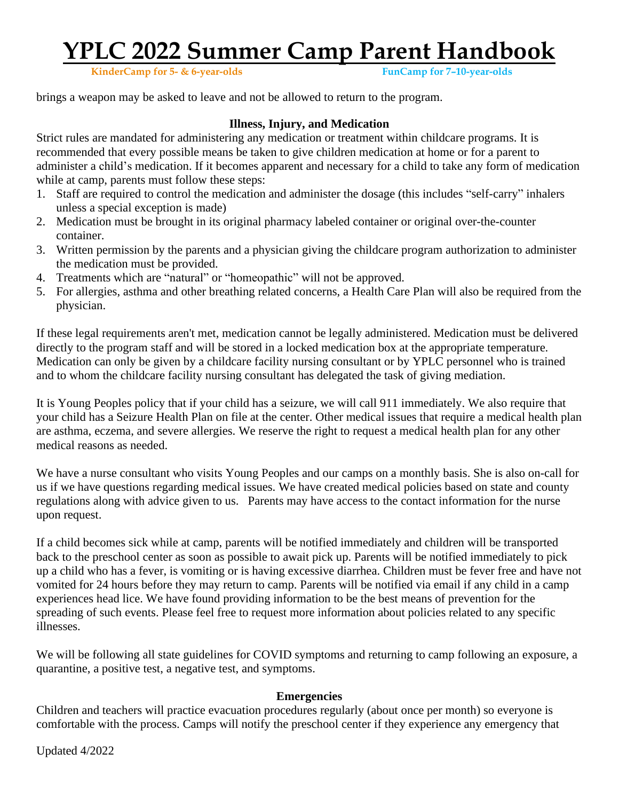**KinderCamp** for 5- & 6-year-olds

brings a weapon may be asked to leave and not be allowed to return to the program.

#### **Illness, Injury, and Medication**

Strict rules are mandated for administering any medication or treatment within childcare programs. It is recommended that every possible means be taken to give children medication at home or for a parent to administer a child's medication. If it becomes apparent and necessary for a child to take any form of medication while at camp, parents must follow these steps:

- 1. Staff are required to control the medication and administer the dosage (this includes "self-carry" inhalers unless a special exception is made)
- 2. Medication must be brought in its original pharmacy labeled container or original over-the-counter container.
- 3. Written permission by the parents and a physician giving the childcare program authorization to administer the medication must be provided.
- 4. Treatments which are "natural" or "homeopathic" will not be approved.
- 5. For allergies, asthma and other breathing related concerns, a Health Care Plan will also be required from the physician.

If these legal requirements aren't met, medication cannot be legally administered. Medication must be delivered directly to the program staff and will be stored in a locked medication box at the appropriate temperature. Medication can only be given by a childcare facility nursing consultant or by YPLC personnel who is trained and to whom the childcare facility nursing consultant has delegated the task of giving mediation.

It is Young Peoples policy that if your child has a seizure, we will call 911 immediately. We also require that your child has a Seizure Health Plan on file at the center. Other medical issues that require a medical health plan are asthma, eczema, and severe allergies. We reserve the right to request a medical health plan for any other medical reasons as needed.

We have a nurse consultant who visits Young Peoples and our camps on a monthly basis. She is also on-call for us if we have questions regarding medical issues. We have created medical policies based on state and county regulations along with advice given to us. Parents may have access to the contact information for the nurse upon request.

If a child becomes sick while at camp, parents will be notified immediately and children will be transported back to the preschool center as soon as possible to await pick up. Parents will be notified immediately to pick up a child who has a fever, is vomiting or is having excessive diarrhea. Children must be fever free and have not vomited for 24 hours before they may return to camp. Parents will be notified via email if any child in a camp experiences head lice. We have found providing information to be the best means of prevention for the spreading of such events. Please feel free to request more information about policies related to any specific illnesses.

We will be following all state guidelines for COVID symptoms and returning to camp following an exposure, a quarantine, a positive test, a negative test, and symptoms.

#### **Emergencies**

Children and teachers will practice evacuation procedures regularly (about once per month) so everyone is comfortable with the process. Camps will notify the preschool center if they experience any emergency that